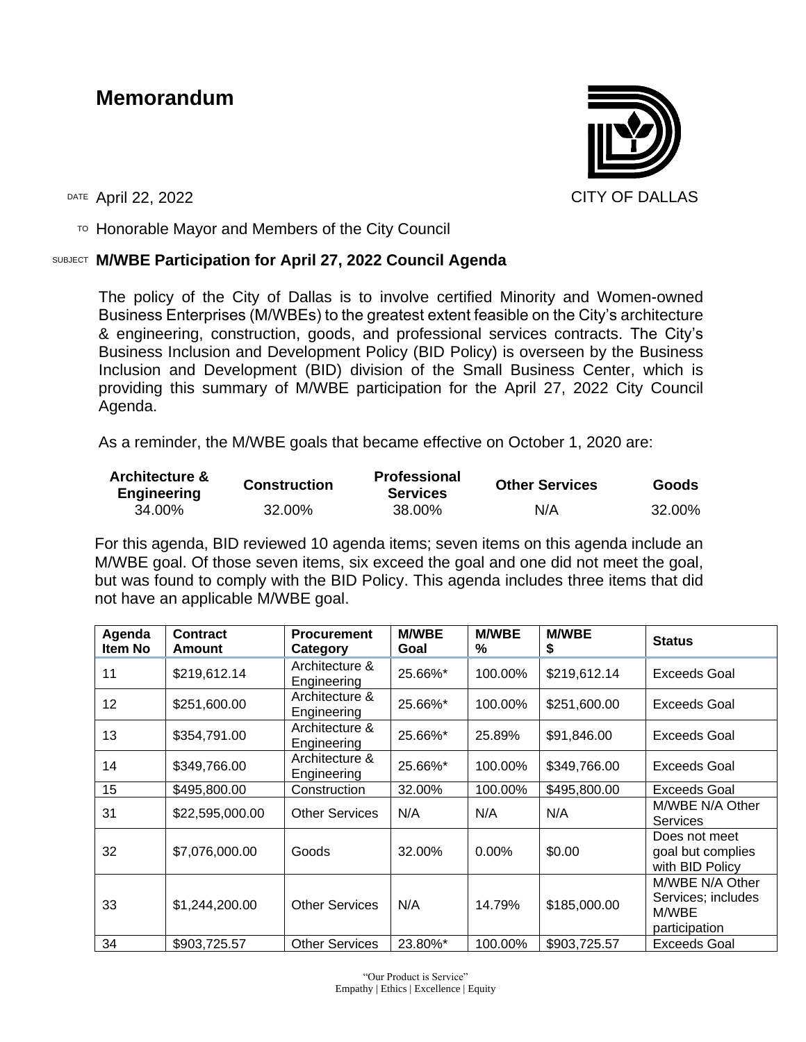# **Memorandum**



 $\overline{P}$  Honorable Mayor and Members of the City Council

#### SUBJECT **M/WBE Participation for April 27, 2022 Council Agenda**

The policy of the City of Dallas is to involve certified Minority and Women-owned Business Enterprises (M/WBEs) to the greatest extent feasible on the City's architecture & engineering, construction, goods, and professional services contracts. The City's Business Inclusion and Development Policy (BID Policy) is overseen by the Business Inclusion and Development (BID) division of the Small Business Center, which is providing this summary of M/WBE participation for the April 27, 2022 City Council Agenda.

As a reminder, the M/WBE goals that became effective on October 1, 2020 are:

| <b>Architecture &amp;</b><br><b>Engineering</b> | <b>Construction</b> | <b>Professional</b><br><b>Services</b> | <b>Other Services</b> | <b>Goods</b> |
|-------------------------------------------------|---------------------|----------------------------------------|-----------------------|--------------|
| 34.00%                                          | 32.00%              | 38.00%                                 | N/A                   | 32.00%       |

For this agenda, BID reviewed 10 agenda items; seven items on this agenda include an M/WBE goal. Of those seven items, six exceed the goal and one did not meet the goal, but was found to comply with the BID Policy. This agenda includes three items that did not have an applicable M/WBE goal.

| Agenda<br>Item No | <b>Contract</b><br>Amount | <b>Procurement</b><br>Category | <b>M/WBE</b><br>Goal | <b>M/WBE</b><br>% | <b>M/WBE</b><br>\$ | <b>Status</b>                                                   |
|-------------------|---------------------------|--------------------------------|----------------------|-------------------|--------------------|-----------------------------------------------------------------|
| 11                | \$219,612.14              | Architecture &<br>Engineering  | 25.66%*              | 100.00%           | \$219,612.14       | Exceeds Goal                                                    |
| 12                | \$251,600.00              | Architecture &<br>Engineering  | 25.66%*              | 100.00%           | \$251,600.00       | Exceeds Goal                                                    |
| 13                | \$354,791.00              | Architecture &<br>Engineering  | 25.66%*              | 25.89%            | \$91,846.00        | Exceeds Goal                                                    |
| 14                | \$349,766.00              | Architecture &<br>Engineering  | 25.66%*              | 100.00%           | \$349,766.00       | Exceeds Goal                                                    |
| 15                | \$495,800.00              | Construction                   | 32.00%               | 100.00%           | \$495,800.00       | Exceeds Goal                                                    |
| 31                | \$22,595,000.00           | <b>Other Services</b>          | N/A                  | N/A               | N/A                | M/WBE N/A Other<br>Services                                     |
| 32                | \$7,076,000.00            | Goods                          | 32.00%               | $0.00\%$          | \$0.00             | Does not meet<br>goal but complies<br>with BID Policy           |
| 33                | \$1,244,200.00            | <b>Other Services</b>          | N/A                  | 14.79%            | \$185,000.00       | M/WBE N/A Other<br>Services; includes<br>M/WBE<br>participation |
| 34                | \$903,725.57              | <b>Other Services</b>          | 23.80%*              | 100.00%           | \$903,725.57       | Exceeds Goal                                                    |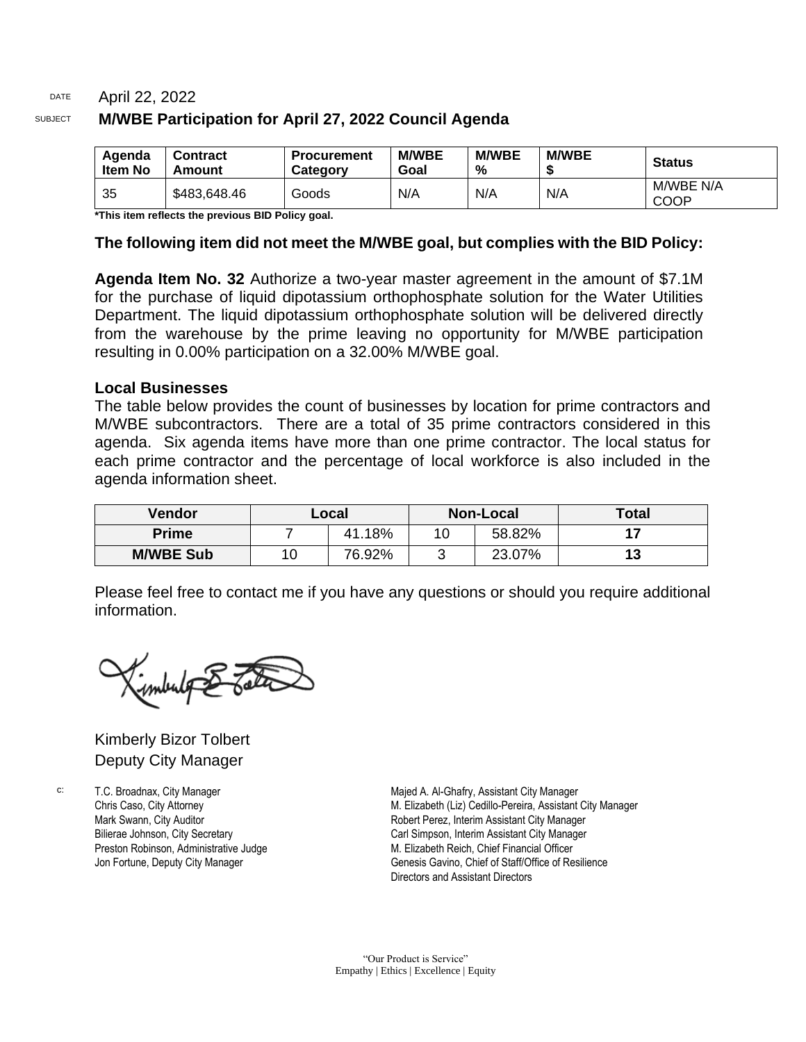#### DATE April 22, 2022 SUBJECT **M/WBE Participation for April 27, 2022 Council Agenda**

| Agenda<br><b>Item No</b> | Contract<br>Amount | <b>Procurement</b><br>Category | <b>M/WBE</b><br>Goal | <b>M/WBE</b><br>% | <b>M/WBE</b> | <b>Status</b>     |
|--------------------------|--------------------|--------------------------------|----------------------|-------------------|--------------|-------------------|
| 35                       | \$483,648.46       | Goods                          | N/A                  | N/A               | N/A          | M/WBE N/A<br>COOP |

**\*This item reflects the previous BID Policy goal.**

#### **The following item did not meet the M/WBE goal, but complies with the BID Policy:**

**Agenda Item No. 32** Authorize a two-year master agreement in the amount of \$7.1M for the purchase of liquid dipotassium orthophosphate solution for the Water Utilities Department. The liquid dipotassium orthophosphate solution will be delivered directly from the warehouse by the prime leaving no opportunity for M/WBE participation resulting in 0.00% participation on a 32.00% M/WBE goal.

#### **Local Businesses**

The table below provides the count of businesses by location for prime contractors and M/WBE subcontractors. There are a total of 35 prime contractors considered in this agenda. Six agenda items have more than one prime contractor. The local status for each prime contractor and the percentage of local workforce is also included in the agenda information sheet.

| <b>Vendor</b>    |    | <b>Non-Local</b><br>∟ocal |    |        | <b>Total</b> |
|------------------|----|---------------------------|----|--------|--------------|
| <b>Prime</b>     |    | 41.18%                    | 10 | 58.82% |              |
| <b>M/WBE Sub</b> | 10 | 76.92%                    | ັ  | 23.07% | 13           |

Please feel free to contact me if you have any questions or should you require additional information.

Kimberly Bizor Tolbert Deputy City Manager

c: T.C. Broadnax, City Manager Chris Caso, City Attorney Mark Swann, City Auditor Bilierae Johnson, City Secretary Preston Robinson, Administrative Judge Jon Fortune, Deputy City Manager

Majed A. Al-Ghafry, Assistant City Manager M. Elizabeth (Liz) Cedillo-Pereira, Assistant City Manager Robert Perez, Interim Assistant City Manager Carl Simpson, Interim Assistant City Manager M. Elizabeth Reich, Chief Financial Officer Genesis Gavino, Chief of Staff/Office of Resilience Directors and Assistant Directors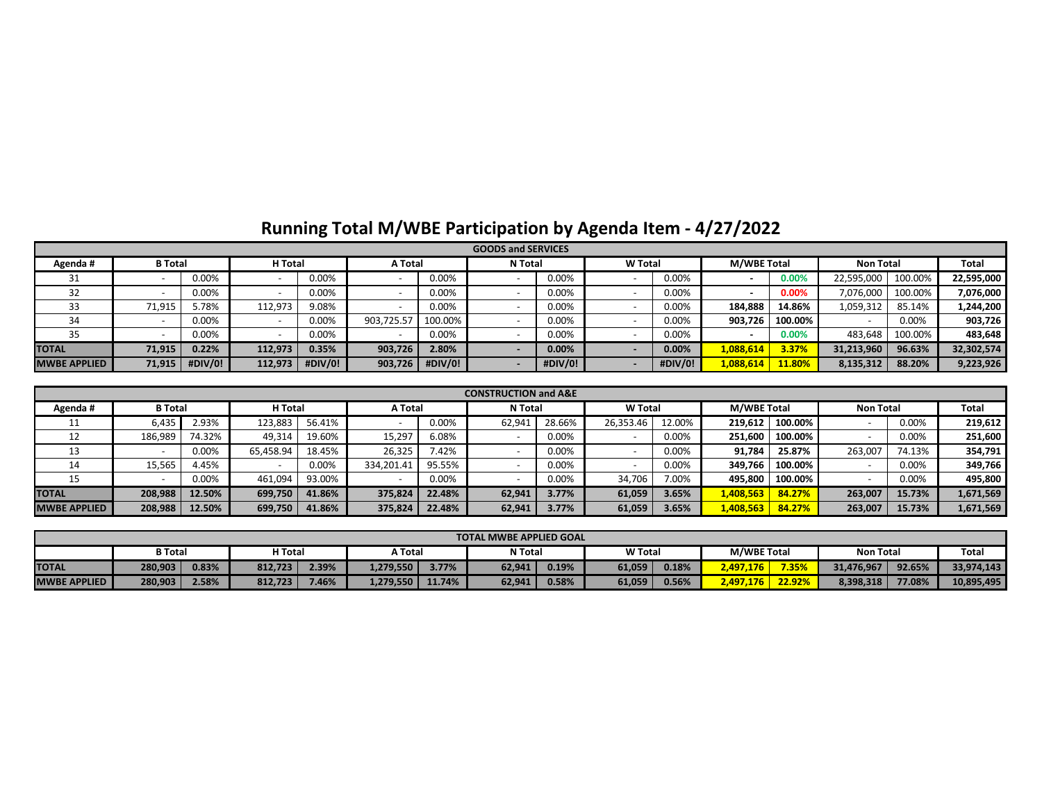# **Running Total M/WBE Participation by Agenda Item - 4/27/2022**

|                     | <b>GOODS and SERVICES</b> |         |         |         |                |         |                |         |                |          |                    |         |                  |         |              |
|---------------------|---------------------------|---------|---------|---------|----------------|---------|----------------|---------|----------------|----------|--------------------|---------|------------------|---------|--------------|
| Agenda#             | <b>B</b> Total            |         | H Total |         | <b>A</b> Total |         | <b>N</b> Total |         | <b>W</b> Total |          | <b>M/WBE Total</b> |         | <b>Non Total</b> |         | <b>Total</b> |
| JІ                  |                           | 0.00%   |         | 0.00%   |                | 0.00%   |                | 0.00%   |                | 0.00%    |                    | 0.00%   | 22,595,000       | 100.00% | 22,595,000   |
| 32                  |                           | 0.00%   |         | 0.00%   |                | 0.00%   |                | 0.00%   |                | 0.00%    |                    | 0.00%   | 7,076,000        | 100.00% | 7,076,000    |
| 33                  | 71,915                    | .78%    | 112,973 | 9.08%   |                | 0.00%   |                | 0.00%   |                | 0.00%    | 184,888            | 14.86%  | 1,059,312        | 85.14%  | 1,244,200    |
| 34                  |                           | 0.00%   |         | 0.00%   | 903,725.57     | 100.00% |                | 0.00%   |                | 0.00%    | 903,726            | 100.00% |                  | 0.00%   | 903,726      |
| 35                  |                           | 0.00%   |         | 0.00%   |                | 0.00%   |                | 0.00%   |                | 0.00%    |                    | 0.00%   | 483,648          | 100.00% | 483,648      |
| <b>TOTAL</b>        | 71,915                    | 0.22%   | 112,973 | 0.35%   | 903,726        | 2.80%   |                | 0.00%   |                | $0.00\%$ | 1,088,614          | 3.37%   | 31,213,960       | 96.63%  | 32,302,574   |
| <b>MWBE APPLIED</b> | 71,915                    | #DIV/0! | 112,973 | #DIV/0! | 903,726        | #DIV/0! |                | #DIV/0! |                | #DIV/0!  | 1,088,614          | 11.80%  | 8,135,312        | 88.20%  | 9,223,926    |

|                     | <b>CONSTRUCTION and A&amp;E</b> |        |           |        |                |        |                |        |                |          |                    |         |                  |        |           |
|---------------------|---------------------------------|--------|-----------|--------|----------------|--------|----------------|--------|----------------|----------|--------------------|---------|------------------|--------|-----------|
| Agenda#             | <b>B</b> Total                  |        | H Total   |        | <b>A</b> Total |        | <b>N</b> Total |        | <b>W</b> Total |          | <b>M/WBE Total</b> |         | <b>Non Total</b> |        | Total     |
| . .                 | 6,435                           | 2.93%  | 123,883   | 56.41% |                | 0.00%  | 62,941         | 28.66% | 26,353.46      | 12.00%   | 219,612            | 100.00% |                  | 0.00%  | 219,612   |
| 12                  | 186,989                         | 74.32% | 49,314    | 19.60% | 15,297         | 6.08%  |                | 0.00%  |                | $0.00\%$ | 251,600            | 100.00% |                  | 0.00%  | 251,600   |
| 13                  |                                 | 0.00%  | 65,458.94 | 18.45% | 26,325         | 7.42%  |                | 0.00%  |                | 0.00%    | 91,784             | 25.87%  | 263,007          | 74.13% | 354,791   |
| 14                  | 15,565                          | 4.45%  |           | 0.00%  | 334,201.41     | 95.55% |                | 0.00%  |                | $0.00\%$ | 349,766            | 100.00% |                  | 0.00%  | 349,766   |
| 15                  |                                 | 0.00%  | 461,094   | 93.00% |                | 0.00%  |                | 0.00%  | 34,706         | 7.00%    | 495,800            | 100.00% |                  | 0.00%  | 495,800   |
| <b>TOTAL</b>        | 208,988                         | 12.50% | 699,750   | 41.86% | 375,824        | 22.48% | 62,941         | 3.77%  | 61,059         | 3.65%    | 1,408,563          | 84.27%  | 263,007          | 15.73% | 1,671,569 |
| <b>MWBE APPLIED</b> | 208,988                         | 12.50% | 699,750   | 41.86% | 375,824        | 22.48% | 62,941         | 3.77%  | 61,059         | 3.65%    | 1,408,563          | 84.27%  | 263,007          | 15.73% | 1,671,569 |

|                                                                                                                         | <b>TOTAL MWBE APPLIED GOAL</b> |       |         |       |           |          |        |       |        |       |           |        |            |        |            |
|-------------------------------------------------------------------------------------------------------------------------|--------------------------------|-------|---------|-------|-----------|----------|--------|-------|--------|-------|-----------|--------|------------|--------|------------|
| <b>Total</b><br><b>M/WBE Total</b><br><b>W</b> Total<br><b>B</b> Total<br>H Total<br><b>N</b> Total<br><b>Non Total</b> |                                |       |         |       |           |          |        |       |        | Total |           |        |            |        |            |
| <b>TOTAL</b>                                                                                                            | 280,903                        | 0.83% | 812,723 | 2.39% | L,279,550 | $3.77\%$ | 62,941 | 0.19% | 61,059 | 0.18% | 2,497,176 | 7.35%  | 31,476,967 | 92.65% | 33,974,143 |
| <b>MWBE APPLIED</b>                                                                                                     | 280,903                        | 2.58% | 812,723 | 7.46% | 1,279,550 | 11.74%   | 62,941 | 0.58% | 61,059 | 0.56% | 2,497,176 | 22.92% | 8,398,318  | 77.08% | 10,895,495 |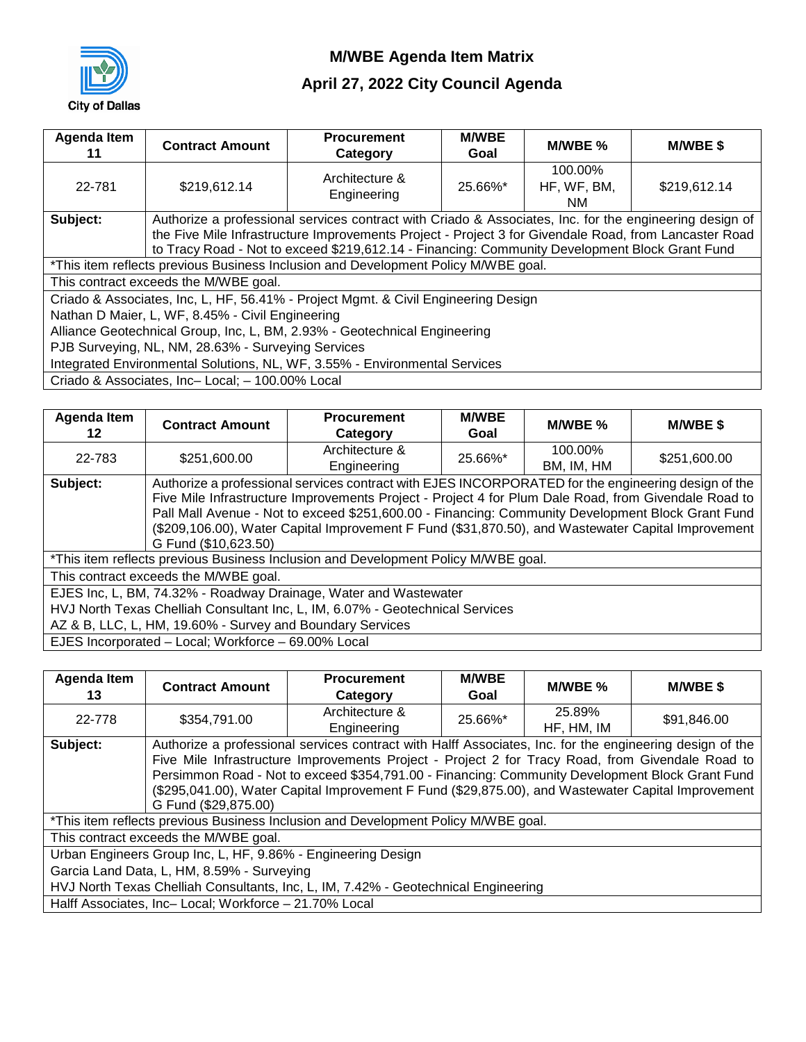

# **April 27, 2022 City Council Agenda**

| Agenda Item<br>11 | <b>Contract Amount</b>                                                     | <b>Procurement</b><br>Category                                                                          | <b>M/WBE</b><br>Goal | M/WBE %                       | <b>M/WBE \$</b> |  |  |  |
|-------------------|----------------------------------------------------------------------------|---------------------------------------------------------------------------------------------------------|----------------------|-------------------------------|-----------------|--|--|--|
| 22-781            | \$219,612.14                                                               | Architecture &<br>Engineering                                                                           | 25.66%*              | 100.00%<br>HF, WF, BM,<br>NM. | \$219,612.14    |  |  |  |
| Subject:          |                                                                            | Authorize a professional services contract with Criado & Associates, Inc. for the engineering design of |                      |                               |                 |  |  |  |
|                   |                                                                            | the Five Mile Infrastructure Improvements Project - Project 3 for Givendale Road, from Lancaster Road   |                      |                               |                 |  |  |  |
|                   |                                                                            | to Tracy Road - Not to exceed \$219,612.14 - Financing: Community Development Block Grant Fund          |                      |                               |                 |  |  |  |
|                   |                                                                            | *This item reflects previous Business Inclusion and Development Policy M/WBE goal.                      |                      |                               |                 |  |  |  |
|                   | This contract exceeds the M/WBE goal.                                      |                                                                                                         |                      |                               |                 |  |  |  |
|                   |                                                                            | Criado & Associates, Inc, L, HF, 56.41% - Project Mgmt. & Civil Engineering Design                      |                      |                               |                 |  |  |  |
|                   | Nathan D Maier, L, WF, 8.45% - Civil Engineering                           |                                                                                                         |                      |                               |                 |  |  |  |
|                   | Alliance Geotechnical Group, Inc, L, BM, 2.93% - Geotechnical Engineering  |                                                                                                         |                      |                               |                 |  |  |  |
|                   | PJB Surveying, NL, NM, 28.63% - Surveying Services                         |                                                                                                         |                      |                               |                 |  |  |  |
|                   | Integrated Environmental Solutions, NL, WF, 3.55% - Environmental Services |                                                                                                         |                      |                               |                 |  |  |  |
|                   | Criado & Associates, Inc-Local; - 100.00% Local                            |                                                                                                         |                      |                               |                 |  |  |  |

| Agenda Item<br>12 | <b>Contract Amount</b>                                                        | <b>Procurement</b><br>Category                                                                       | <b>M/WBE</b><br>Goal | M/WBE %    | <b>M/WBE \$</b> |  |  |  |  |
|-------------------|-------------------------------------------------------------------------------|------------------------------------------------------------------------------------------------------|----------------------|------------|-----------------|--|--|--|--|
| 22-783            | \$251,600.00                                                                  | Architecture &                                                                                       | 25.66%*              | 100.00%    | \$251,600.00    |  |  |  |  |
|                   |                                                                               | Engineering                                                                                          |                      | BM, IM, HM |                 |  |  |  |  |
| Subject:          |                                                                               | Authorize a professional services contract with EJES INCORPORATED for the engineering design of the  |                      |            |                 |  |  |  |  |
|                   |                                                                               | Five Mile Infrastructure Improvements Project - Project 4 for Plum Dale Road, from Givendale Road to |                      |            |                 |  |  |  |  |
|                   |                                                                               | Pall Mall Avenue - Not to exceed \$251,600.00 - Financing: Community Development Block Grant Fund    |                      |            |                 |  |  |  |  |
|                   |                                                                               | (\$209,106.00), Water Capital Improvement F Fund (\$31,870.50), and Wastewater Capital Improvement   |                      |            |                 |  |  |  |  |
|                   | G Fund (\$10,623.50)                                                          |                                                                                                      |                      |            |                 |  |  |  |  |
|                   |                                                                               | *This item reflects previous Business Inclusion and Development Policy M/WBE goal.                   |                      |            |                 |  |  |  |  |
|                   | This contract exceeds the M/WBE goal.                                         |                                                                                                      |                      |            |                 |  |  |  |  |
|                   |                                                                               | EJES Inc, L, BM, 74.32% - Roadway Drainage, Water and Wastewater                                     |                      |            |                 |  |  |  |  |
|                   | HVJ North Texas Chelliah Consultant Inc, L, IM, 6.07% - Geotechnical Services |                                                                                                      |                      |            |                 |  |  |  |  |
|                   | AZ & B, LLC, L, HM, 19.60% - Survey and Boundary Services                     |                                                                                                      |                      |            |                 |  |  |  |  |
|                   | EJES Incorporated - Local; Workforce - 69.00% Local                           |                                                                                                      |                      |            |                 |  |  |  |  |

| <b>Agenda Item</b><br>13 | <b>Contract Amount</b>                                                             | <b>Procurement</b><br>Category                                                                           | <b>M/WBE</b><br>Goal | M/WBE %    | <b>M/WBE \$</b> |  |  |  |  |
|--------------------------|------------------------------------------------------------------------------------|----------------------------------------------------------------------------------------------------------|----------------------|------------|-----------------|--|--|--|--|
| 22-778                   | \$354,791.00                                                                       | Architecture &                                                                                           | 25.66%*              | 25.89%     | \$91,846.00     |  |  |  |  |
|                          |                                                                                    | Engineering                                                                                              |                      | HF, HM, IM |                 |  |  |  |  |
| Subject:                 |                                                                                    | Authorize a professional services contract with Halff Associates, Inc. for the engineering design of the |                      |            |                 |  |  |  |  |
|                          |                                                                                    | Five Mile Infrastructure Improvements Project - Project 2 for Tracy Road, from Givendale Road to         |                      |            |                 |  |  |  |  |
|                          |                                                                                    | Persimmon Road - Not to exceed \$354,791.00 - Financing: Community Development Block Grant Fund          |                      |            |                 |  |  |  |  |
|                          |                                                                                    | (\$295,041.00), Water Capital Improvement F Fund (\$29,875.00), and Wastewater Capital Improvement       |                      |            |                 |  |  |  |  |
|                          | G Fund (\$29,875.00)                                                               |                                                                                                          |                      |            |                 |  |  |  |  |
|                          |                                                                                    | *This item reflects previous Business Inclusion and Development Policy M/WBE goal.                       |                      |            |                 |  |  |  |  |
|                          | This contract exceeds the M/WBE goal.                                              |                                                                                                          |                      |            |                 |  |  |  |  |
|                          | Urban Engineers Group Inc, L, HF, 9.86% - Engineering Design                       |                                                                                                          |                      |            |                 |  |  |  |  |
|                          | Garcia Land Data, L, HM, 8.59% - Surveying                                         |                                                                                                          |                      |            |                 |  |  |  |  |
|                          | HVJ North Texas Chelliah Consultants, Inc, L, IM, 7.42% - Geotechnical Engineering |                                                                                                          |                      |            |                 |  |  |  |  |
|                          | Halff Associates, Inc-Local; Workforce - 21.70% Local                              |                                                                                                          |                      |            |                 |  |  |  |  |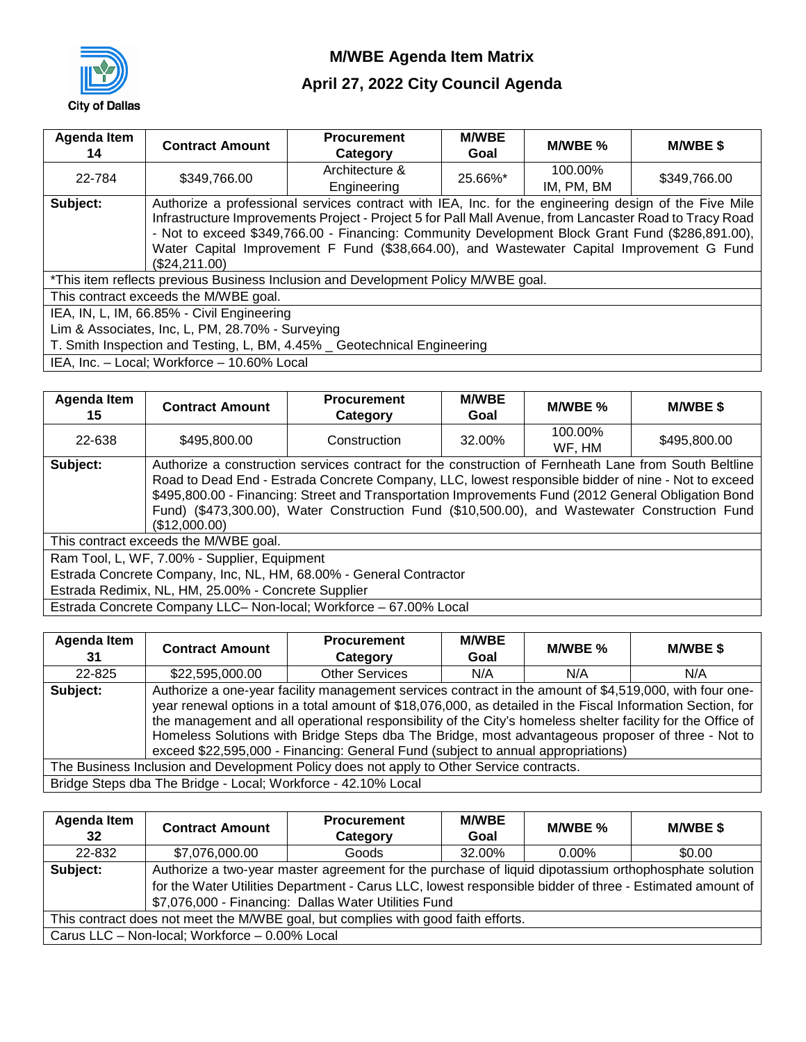

# **April 27, 2022 City Council Agenda**

| Agenda Item<br>14 | <b>Contract Amount</b>                                                   | <b>Procurement</b><br>Category                                                                                                                                                                                                                                                                                                                                                                                    | <b>M/WBE</b><br>Goal | M/WBE %               | <b>M/WBE \$</b> |  |  |  |  |
|-------------------|--------------------------------------------------------------------------|-------------------------------------------------------------------------------------------------------------------------------------------------------------------------------------------------------------------------------------------------------------------------------------------------------------------------------------------------------------------------------------------------------------------|----------------------|-----------------------|-----------------|--|--|--|--|
| 22-784            | \$349,766.00                                                             | Architecture &<br>Engineering                                                                                                                                                                                                                                                                                                                                                                                     | 25.66%*              | 100.00%<br>IM, PM, BM | \$349,766.00    |  |  |  |  |
| Subject:          | (\$24,211.00)                                                            | Authorize a professional services contract with IEA, Inc. for the engineering design of the Five Mile<br>Infrastructure Improvements Project - Project 5 for Pall Mall Avenue, from Lancaster Road to Tracy Road<br>- Not to exceed \$349,766.00 - Financing: Community Development Block Grant Fund (\$286,891.00),<br>Water Capital Improvement F Fund (\$38,664.00), and Wastewater Capital Improvement G Fund |                      |                       |                 |  |  |  |  |
|                   |                                                                          | *This item reflects previous Business Inclusion and Development Policy M/WBE goal.                                                                                                                                                                                                                                                                                                                                |                      |                       |                 |  |  |  |  |
|                   | This contract exceeds the M/WBE goal.                                    |                                                                                                                                                                                                                                                                                                                                                                                                                   |                      |                       |                 |  |  |  |  |
|                   |                                                                          | IEA, IN, L, IM, 66.85% - Civil Engineering                                                                                                                                                                                                                                                                                                                                                                        |                      |                       |                 |  |  |  |  |
|                   | Lim & Associates, Inc, L, PM, 28.70% - Surveying                         |                                                                                                                                                                                                                                                                                                                                                                                                                   |                      |                       |                 |  |  |  |  |
|                   | T. Smith Inspection and Testing, L, BM, 4.45% _ Geotechnical Engineering |                                                                                                                                                                                                                                                                                                                                                                                                                   |                      |                       |                 |  |  |  |  |
|                   | IEA, Inc. - Local; Workforce - 10.60% Local                              |                                                                                                                                                                                                                                                                                                                                                                                                                   |                      |                       |                 |  |  |  |  |

| Agenda Item<br>15 | <b>Contract Amount</b>                                             | <b>Procurement</b><br>Category                                                                                                                                                                                                                                                                                                                                                                                       | <b>M/WBE</b><br>Goal | M/WBE %           | <b>M/WBE \$</b> |  |  |  |
|-------------------|--------------------------------------------------------------------|----------------------------------------------------------------------------------------------------------------------------------------------------------------------------------------------------------------------------------------------------------------------------------------------------------------------------------------------------------------------------------------------------------------------|----------------------|-------------------|-----------------|--|--|--|
| 22-638            | \$495,800,00                                                       | Construction                                                                                                                                                                                                                                                                                                                                                                                                         | 32.00%               | 100.00%<br>WF, HM | \$495,800.00    |  |  |  |
| Subject:          | (\$12,000.00)                                                      | Authorize a construction services contract for the construction of Fernheath Lane from South Beltline<br>Road to Dead End - Estrada Concrete Company, LLC, lowest responsible bidder of nine - Not to exceed<br>\$495,800.00 - Financing: Street and Transportation Improvements Fund (2012 General Obligation Bond<br>Fund) (\$473,300.00), Water Construction Fund (\$10,500.00), and Wastewater Construction Fund |                      |                   |                 |  |  |  |
|                   | This contract exceeds the M/WBE goal.                              |                                                                                                                                                                                                                                                                                                                                                                                                                      |                      |                   |                 |  |  |  |
|                   | Ram Tool, L, WF, 7.00% - Supplier, Equipment                       |                                                                                                                                                                                                                                                                                                                                                                                                                      |                      |                   |                 |  |  |  |
|                   | Estrada Concrete Company, Inc, NL, HM, 68.00% - General Contractor |                                                                                                                                                                                                                                                                                                                                                                                                                      |                      |                   |                 |  |  |  |
|                   | Estrada Redimix, NL, HM, 25.00% - Concrete Supplier                |                                                                                                                                                                                                                                                                                                                                                                                                                      |                      |                   |                 |  |  |  |
|                   |                                                                    | Estrada Concrete Company LLC- Non-local; Workforce - 67.00% Local                                                                                                                                                                                                                                                                                                                                                    |                      |                   |                 |  |  |  |

| <b>Agenda Item</b><br>31                                                                 | <b>Contract Amount</b>                                                                                                                                                                                                                                                                                                                                                                                                                                                                                                        | <b>Procurement</b><br>Category | <b>M/WBE</b><br>Goal | M/WBE % | M/WBE \$ |
|------------------------------------------------------------------------------------------|-------------------------------------------------------------------------------------------------------------------------------------------------------------------------------------------------------------------------------------------------------------------------------------------------------------------------------------------------------------------------------------------------------------------------------------------------------------------------------------------------------------------------------|--------------------------------|----------------------|---------|----------|
| 22-825                                                                                   | \$22,595,000.00                                                                                                                                                                                                                                                                                                                                                                                                                                                                                                               | <b>Other Services</b>          | N/A                  | N/A     | N/A      |
| Subject:                                                                                 | Authorize a one-year facility management services contract in the amount of \$4,519,000, with four one-<br>year renewal options in a total amount of \$18,076,000, as detailed in the Fiscal Information Section, for<br>the management and all operational responsibility of the City's homeless shelter facility for the Office of<br>Homeless Solutions with Bridge Steps dba The Bridge, most advantageous proposer of three - Not to<br>exceed \$22,595,000 - Financing: General Fund (subject to annual appropriations) |                                |                      |         |          |
| The Business Inclusion and Development Policy does not apply to Other Service contracts. |                                                                                                                                                                                                                                                                                                                                                                                                                                                                                                                               |                                |                      |         |          |
| Bridge Steps dba The Bridge - Local; Workforce - 42.10% Local                            |                                                                                                                                                                                                                                                                                                                                                                                                                                                                                                                               |                                |                      |         |          |

| Agenda Item<br>32                                                                 | <b>Contract Amount</b>                                                                                   | <b>Procurement</b><br>Category | <b>M/WBE</b><br>Goal | M/WBE % | <b>M/WBE \$</b> |  |
|-----------------------------------------------------------------------------------|----------------------------------------------------------------------------------------------------------|--------------------------------|----------------------|---------|-----------------|--|
| 22-832                                                                            | \$7,076,000.00                                                                                           | Goods                          | 32.00%               | 0.00%   | \$0.00          |  |
| Subject:                                                                          | Authorize a two-year master agreement for the purchase of liquid dipotassium orthophosphate solution     |                                |                      |         |                 |  |
|                                                                                   | for the Water Utilities Department - Carus LLC, lowest responsible bidder of three - Estimated amount of |                                |                      |         |                 |  |
|                                                                                   | \$7,076,000 - Financing: Dallas Water Utilities Fund                                                     |                                |                      |         |                 |  |
| This contract does not meet the M/WBE goal, but complies with good faith efforts. |                                                                                                          |                                |                      |         |                 |  |
| Carus LLC - Non-local; Workforce - 0.00% Local                                    |                                                                                                          |                                |                      |         |                 |  |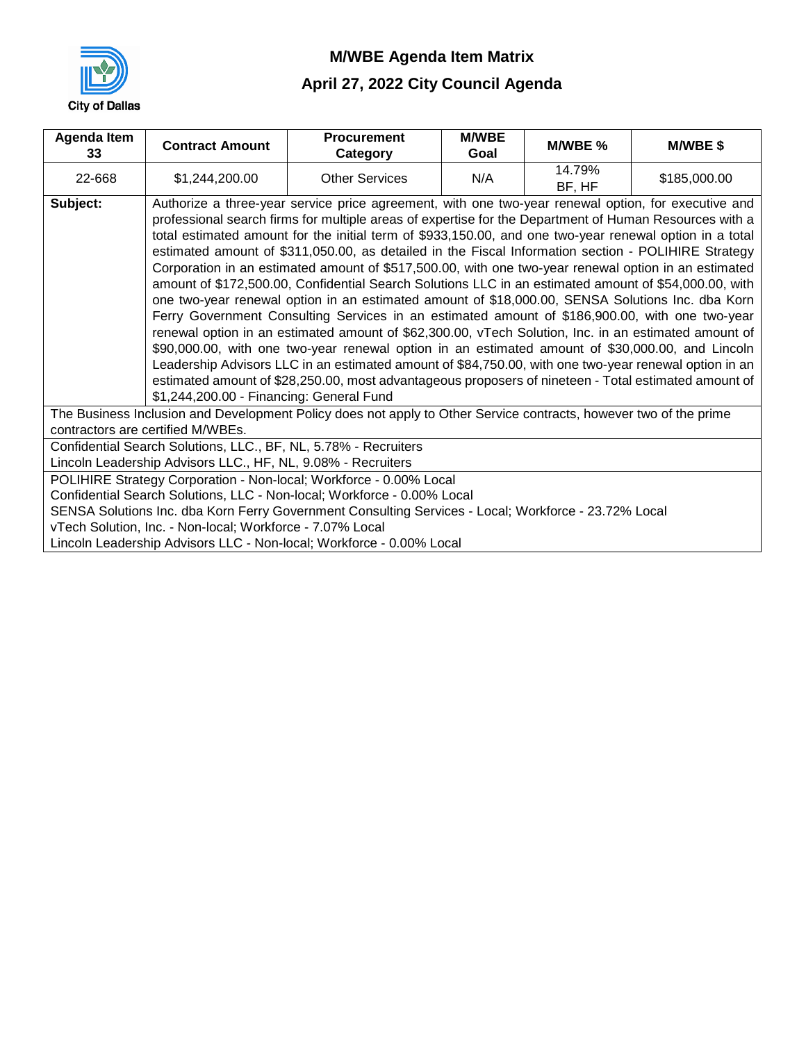

# **April 27, 2022 City Council Agenda**

| Agenda Item<br>33                                                                                                 | <b>Contract Amount</b>                                                                                | <b>Procurement</b><br>Category                                                                          | <b>M/WBE</b><br>Goal | M/WBE %          | M/WBE\$      |  |
|-------------------------------------------------------------------------------------------------------------------|-------------------------------------------------------------------------------------------------------|---------------------------------------------------------------------------------------------------------|----------------------|------------------|--------------|--|
| 22-668                                                                                                            | \$1,244,200.00                                                                                        | <b>Other Services</b>                                                                                   | N/A                  | 14.79%<br>BF, HF | \$185,000.00 |  |
| Subject:                                                                                                          |                                                                                                       | Authorize a three-year service price agreement, with one two-year renewal option, for executive and     |                      |                  |              |  |
|                                                                                                                   |                                                                                                       | professional search firms for multiple areas of expertise for the Department of Human Resources with a  |                      |                  |              |  |
|                                                                                                                   |                                                                                                       | total estimated amount for the initial term of \$933,150.00, and one two-year renewal option in a total |                      |                  |              |  |
|                                                                                                                   |                                                                                                       | estimated amount of \$311,050.00, as detailed in the Fiscal Information section - POLIHIRE Strategy     |                      |                  |              |  |
|                                                                                                                   |                                                                                                       | Corporation in an estimated amount of \$517,500.00, with one two-year renewal option in an estimated    |                      |                  |              |  |
|                                                                                                                   |                                                                                                       | amount of \$172,500.00, Confidential Search Solutions LLC in an estimated amount of \$54,000.00, with   |                      |                  |              |  |
|                                                                                                                   | one two-year renewal option in an estimated amount of \$18,000.00, SENSA Solutions Inc. dba Korn      |                                                                                                         |                      |                  |              |  |
|                                                                                                                   | Ferry Government Consulting Services in an estimated amount of \$186,900.00, with one two-year        |                                                                                                         |                      |                  |              |  |
|                                                                                                                   | renewal option in an estimated amount of \$62,300.00, vTech Solution, Inc. in an estimated amount of  |                                                                                                         |                      |                  |              |  |
|                                                                                                                   | \$90,000.00, with one two-year renewal option in an estimated amount of \$30,000.00, and Lincoln      |                                                                                                         |                      |                  |              |  |
|                                                                                                                   | Leadership Advisors LLC in an estimated amount of \$84,750.00, with one two-year renewal option in an |                                                                                                         |                      |                  |              |  |
|                                                                                                                   | estimated amount of \$28,250.00, most advantageous proposers of nineteen - Total estimated amount of  |                                                                                                         |                      |                  |              |  |
| \$1,244,200.00 - Financing: General Fund                                                                          |                                                                                                       |                                                                                                         |                      |                  |              |  |
| The Business Inclusion and Development Policy does not apply to Other Service contracts, however two of the prime |                                                                                                       |                                                                                                         |                      |                  |              |  |
| contractors are certified M/WBEs.                                                                                 |                                                                                                       |                                                                                                         |                      |                  |              |  |
| Confidential Search Solutions, LLC., BF, NL, 5.78% - Recruiters                                                   |                                                                                                       |                                                                                                         |                      |                  |              |  |
| Lincoln Leadership Advisors LLC., HF, NL, 9.08% - Recruiters                                                      |                                                                                                       |                                                                                                         |                      |                  |              |  |
| POLIHIRE Strategy Corporation - Non-local; Workforce - 0.00% Local                                                |                                                                                                       |                                                                                                         |                      |                  |              |  |
| Confidential Search Solutions, LLC - Non-local; Workforce - 0.00% Local                                           |                                                                                                       |                                                                                                         |                      |                  |              |  |
| SENSA Solutions Inc. dba Korn Ferry Government Consulting Services - Local; Workforce - 23.72% Local              |                                                                                                       |                                                                                                         |                      |                  |              |  |
| vTech Solution, Inc. - Non-local; Workforce - 7.07% Local                                                         |                                                                                                       |                                                                                                         |                      |                  |              |  |
| Lincoln Leadership Advisors LLC - Non-local; Workforce - 0.00% Local                                              |                                                                                                       |                                                                                                         |                      |                  |              |  |